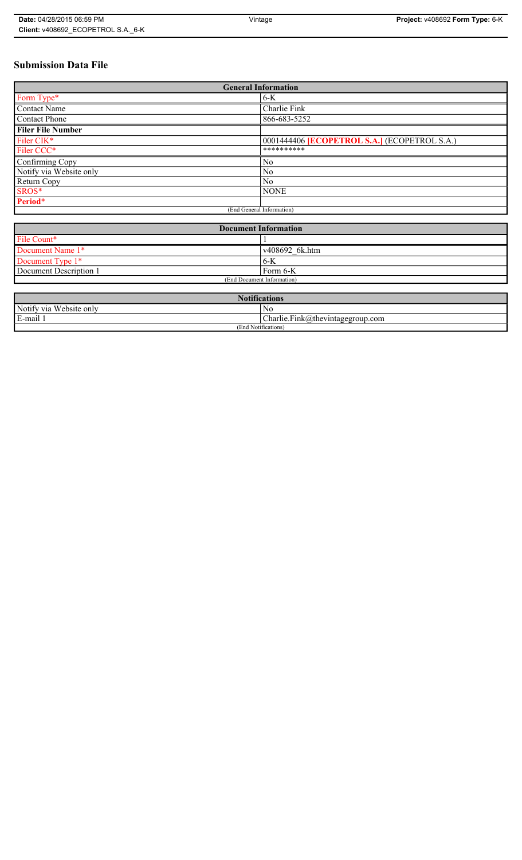# **Submission Data File**

| <b>General Information</b> |                                                   |
|----------------------------|---------------------------------------------------|
| Form Type*                 | $6-K$                                             |
| <b>Contact Name</b>        | Charlie Fink                                      |
| <b>Contact Phone</b>       | 866-683-5252                                      |
| <b>Filer File Number</b>   |                                                   |
| Filer CIK*                 | 0001444406 <b>ECOPETROL S.A.</b> (ECOPETROL S.A.) |
| Filer CCC*                 | **********                                        |
| Confirming Copy            | No                                                |
| Notify via Website only    | No                                                |
| Return Copy                | N <sub>0</sub>                                    |
| SROS*                      | <b>NONE</b>                                       |
| Period*                    |                                                   |
| (End General Information)  |                                                   |

| <b>Document Information</b> |                |
|-----------------------------|----------------|
| File Count*                 |                |
| Document Name 1*            | v408692 6k.htm |
| Document Type 1*            | 6-K            |
| Document Description 1      | Form 6-K       |
| (End Document Information)  |                |

| <b>Totifications</b>                  |                                  |
|---------------------------------------|----------------------------------|
| Notify via<br>T T T<br>. Website only | No                               |
| $\cdot$ .<br>$\blacksquare$<br>i-mail | Charlie.Fink@thevintagegroup.com |
| $\cdots$<br>(End Notifications)       |                                  |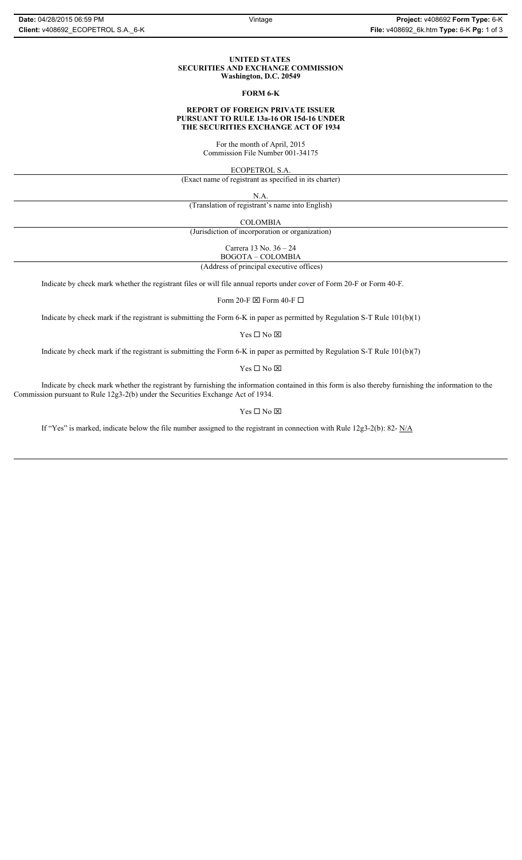#### **UNITED STATES SECURITIES AND EXCHANGE COMMISSION Washington, D.C. 20549**

#### **FORM 6-K**

### **REPORT OF FOREIGN PRIVATE ISSUER PURSUANT TO RULE 13a-16 OR 15d-16 UNDER THE SECURITIES EXCHANGE ACT OF 1934**

For the month of April, 2015 Commission File Number 001-34175

ECOPETROL S.A.

(Exact name of registrant as specified in its charter)

N.A.

(Translation of registrant's name into English)

COLOMBIA

(Jurisdiction of incorporation or organization)

Carrera 13 No. 36 – 24

 (Address of principal executive offices) BOGOTA – COLOMBIA

Indicate by check mark whether the registrant files or will file annual reports under cover of Form 20-F or Form 40-F.

Form 20-F  $\boxtimes$  Form 40-F  $\Box$ 

Indicate by check mark if the registrant is submitting the Form 6-K in paper as permitted by Regulation S-T Rule 101(b)(1)

 $Yes \Box No \boxtimes$ 

Indicate by check mark if the registrant is submitting the Form 6-K in paper as permitted by Regulation S-T Rule 101(b)(7)

 $\mathbf{Y}\mathbf{es} \ \Box \ \mathbf{No} \ \overline{\mathbf{\mathbf{\boxtimes}}}$ 

Indicate by check mark whether the registrant by furnishing the information contained in this form is also thereby furnishing the information to the Commission pursuant to Rule 12g3-2(b) under the Securities Exchange Act of 1934.

### $Yes \Box No \boxtimes$

If "Yes" is marked, indicate below the file number assigned to the registrant in connection with Rule 12g3-2(b): 82-  $N/A$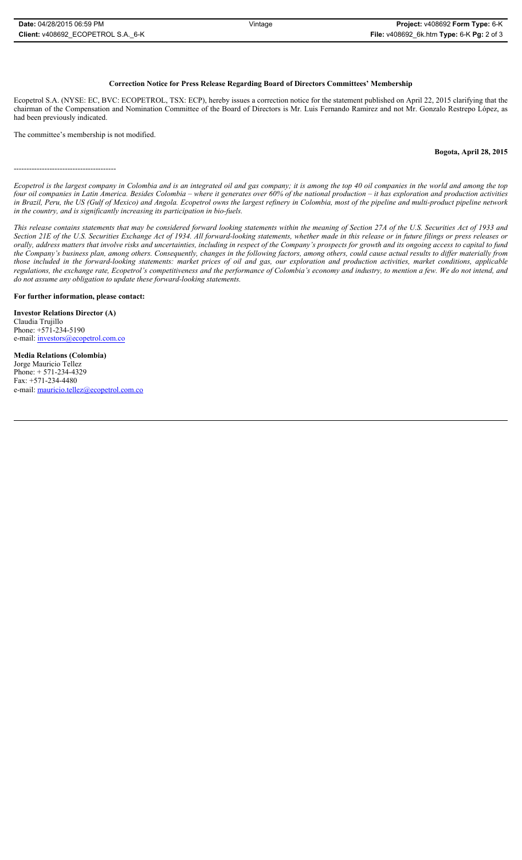## **Correction Notice for Press Release Regarding Board of Directors Committees' Membership**

Ecopetrol S.A. (NYSE: EC, BVC: ECOPETROL, TSX: ECP), hereby issues a correction notice for the statement published on April 22, 2015 clarifying that the chairman of the Compensation and Nomination Committee of the Board of Directors is Mr. Luis Fernando Ramirez and not Mr. Gonzalo Restrepo López, as had been previously indicated.

The committee's membership is not modified.

**Bogota, April 28, 2015**

----------------------------------------

*Ecopetrol is the largest company in Colombia and is an integrated oil and gas company; it is among the top 40 oil companies in the world and among the top four oil companies in Latin America. Besides Colombia – where it generates over 60% of the national production – it has exploration and production activities in Brazil, Peru, the US (Gulf of Mexico) and Angola. Ecopetrol owns the largest refinery in Colombia, most of the pipeline and multi-product pipeline network in the country, and is significantly increasing its participation in bio-fuels.* 

*This release contains statements that may be considered forward looking statements within the meaning of Section 27A of the U.S. Securities Act of 1933 and Section 21E of the U.S. Securities Exchange Act of 1934. All forward-looking statements, whether made in this release or in future filings or press releases or orally, address matters that involve risks and uncertainties, including in respect of the Company's prospects for growth and its ongoing access to capital to fund the Company's business plan, among others. Consequently, changes in the following factors, among others, could cause actual results to differ materially from those included in the forward-looking statements: market prices of oil and gas, our exploration and production activities, market conditions, applicable regulations, the exchange rate, Ecopetrol's competitiveness and the performance of Colombia's economy and industry, to mention a few. We do not intend, and do not assume any obligation to update these forward-looking statements.*

#### **For further information, please contact:**

**Investor Relations Director (A)** Claudia Trujillo Phone: +571-234-5190 e-mail: investors@ecopetrol.com.co

**Media Relations (Colombia)**  Jorge Mauricio Tellez Phone: + 571-234-4329 Fax: +571-234-4480 e-mail: mauricio.tellez@ecopetrol.com.co